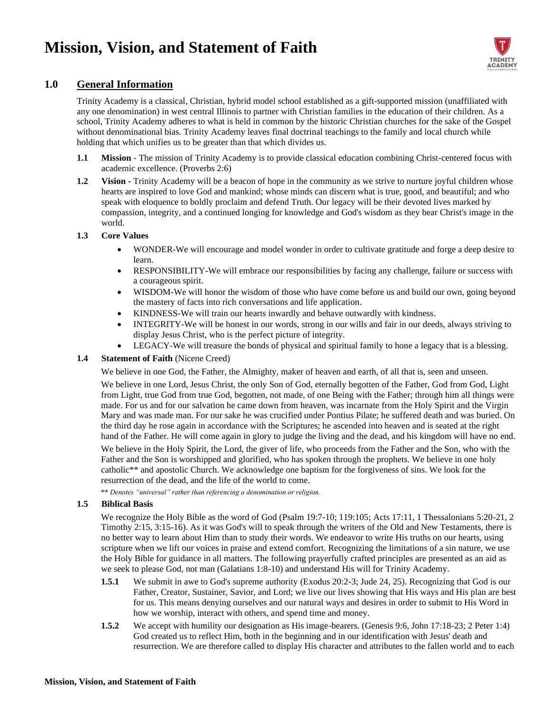# **Mission, Vision, and Statement of Faith**



### **1.0 General Information**

Trinity Academy is a classical, Christian, hybrid model school established as a gift-supported mission (unaffiliated with any one denomination) in west central Illinois to partner with Christian families in the education of their children. As a school, Trinity Academy adheres to what is held in common by the historic Christian churches for the sake of the Gospel without denominational bias. Trinity Academy leaves final doctrinal teachings to the family and local church while holding that which unifies us to be greater than that which divides us.

- **1.1 Mission** The mission of Trinity Academy is to provide classical education combining Christ-centered focus with academic excellence. (Proverbs 2:6)
- **1.2 Vision -** Trinity Academy will be a beacon of hope in the community as we strive to nurture joyful children whose hearts are inspired to love God and mankind; whose minds can discern what is true, good, and beautiful; and who speak with eloquence to boldly proclaim and defend Truth. Our legacy will be their devoted lives marked by compassion, integrity, and a continued longing for knowledge and God's wisdom as they bear Christ's image in the world.

#### **1.3 Core Values**

- WONDER-We will encourage and model wonder in order to cultivate gratitude and forge a deep desire to learn.
- RESPONSIBILITY-We will embrace our responsibilities by facing any challenge, failure or success with a courageous spirit.
- WISDOM-We will honor the wisdom of those who have come before us and build our own, going beyond the mastery of facts into rich conversations and life application.
- KINDNESS-We will train our hearts inwardly and behave outwardly with kindness.
- INTEGRITY-We will be honest in our words, strong in our wills and fair in our deeds, always striving to display Jesus Christ, who is the perfect picture of integrity.
- LEGACY-We will treasure the bonds of physical and spiritual family to hone a legacy that is a blessing.

#### **1.4 Statement of Faith** (Nicene Creed)

We believe in one God, the Father, the Almighty, maker of heaven and earth, of all that is, seen and unseen.

We believe in one Lord, Jesus Christ, the only Son of God, eternally begotten of the Father, God from God, Light from Light, true God from true God, begotten, not made, of one Being with the Father; through him all things were made. For us and for our salvation he came down from heaven, was incarnate from the Holy Spirit and the Virgin Mary and was made man. For our sake he was crucified under Pontius Pilate; he suffered death and was buried. On the third day he rose again in accordance with the Scriptures; he ascended into heaven and is seated at the right hand of the Father. He will come again in glory to judge the living and the dead, and his kingdom will have no end.

We believe in the Holy Spirit, the Lord, the giver of life, who proceeds from the Father and the Son, who with the Father and the Son is worshipped and glorified, who has spoken through the prophets. We believe in one holy catholic\*\* and apostolic Church. We acknowledge one baptism for the forgiveness of sins. We look for the resurrection of the dead, and the life of the world to come.

\*\* *Denotes "universal" rather than referencing a denomination or religion.*

#### **1.5 Biblical Basis**

We recognize the Holy Bible as the word of God (Psalm 19:7-10; 119:105; Acts 17:11, 1 Thessalonians 5:20-21, 2 Timothy 2:15, 3:15-16). As it was God's will to speak through the writers of the Old and New Testaments, there is no better way to learn about Him than to study their words. We endeavor to write His truths on our hearts, using scripture when we lift our voices in praise and extend comfort. Recognizing the limitations of a sin nature, we use the Holy Bible for guidance in all matters. The following prayerfully crafted principles are presented as an aid as we seek to please God, not man (Galatians 1:8-10) and understand His will for Trinity Academy.

- **1.5.1** We submit in awe to God's supreme authority (Exodus 20:2-3; Jude 24, 25). Recognizing that God is our Father, Creator, Sustainer, Savior, and Lord; we live our lives showing that His ways and His plan are best for us. This means denying ourselves and our natural ways and desires in order to submit to His Word in how we worship, interact with others, and spend time and money.
- **1.5.2** We accept with humility our designation as His image-bearers. (Genesis 9:6, John 17:18-23; 2 Peter 1:4) God created us to reflect Him, both in the beginning and in our identification with Jesus' death and resurrection. We are therefore called to display His character and attributes to the fallen world and to each